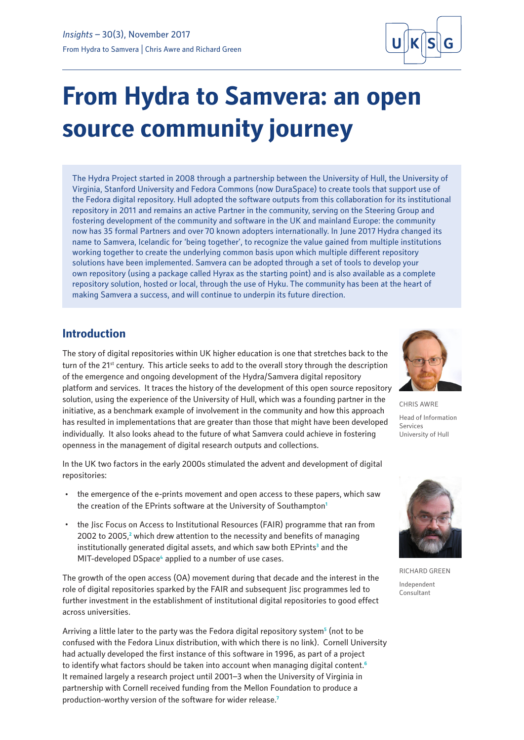

# **From Hydra to Samvera: an open source community journey**

The Hydra Project started in 2008 through a partnership between the University of Hull, the University of Virginia, Stanford University and Fedora Commons (now DuraSpace) to create tools that support use of the Fedora digital repository. Hull adopted the software outputs from this collaboration for its institutional repository in 2011 and remains an active Partner in the community, serving on the Steering Group and fostering development of the community and software in the UK and mainland Europe: the community now has 35 formal Partners and over 70 known adopters internationally. In June 2017 Hydra changed its name to Samvera, Icelandic for 'being together', to recognize the value gained from multiple institutions working together to create the underlying common basis upon which multiple different repository solutions have been implemented. Samvera can be adopted through a set of tools to develop your own repository (using a package called Hyrax as the starting point) and is also available as a complete repository solution, hosted or local, through the use of Hyku. The community has been at the heart of making Samvera a success, and will continue to underpin its future direction.

## **Introduction**

The story of digital repositories within UK higher education is one that stretches back to the turn of the 21<sup>st</sup> century. This article seeks to add to the overall story through the description of the emergence and ongoing development of the Hydra/Samvera digital repository platform and services. It traces the history of the development of this open source repository solution, using the experience of the University of Hull, which was a founding partner in the initiative, as a benchmark example of involvement in the community and how this approach has resulted in implementations that are greater than those that might have been developed individually. It also looks ahead to the future of what Samvera could achieve in fostering openness in the management of digital research outputs and collections.

In the UK two factors in the early 2000s stimulated the advent and development of digital repositories:

- · the emergence of the e-prints movement and open access to these papers, which saw the creation of the EPrints software at the University of Southampton**<sup>1</sup>**
- · the Jisc Focus on Access to Institutional Resources (FAIR) programme that ran from 2002 to 2005,<sup>2</sup> which drew attention to the necessity and benefits of managing institutionally generated digital assets, and which saw both EPrints**<sup>3</sup>** and the MIT-developed DSpace<sup>4</sup> applied to a number of use cases.

The growth of the open access (OA) movement during that decade and the interest in the role of digital repositories sparked by the FAIR and subsequent Jisc programmes led to further investment in the establishment of institutional digital repositories to good effect across universities.

Arriving a little later to the party was the Fedora digital repository system**<sup>5</sup>** (not to be confused with the Fedora Linux distribution, with which there is no link). Cornell University had actually developed the first instance of this software in 1996, as part of a project to identify what factors should be taken into account when managing digital content.**<sup>6</sup>** It remained largely a research project until 2001–3 when the University of Virginia in partnership with Cornell received funding from the Mellon Foundation to produce a production-worthy version of the software for wider release.**<sup>7</sup>**



CHRIS AWRE Head of Information Services University of Hull



RICHARD GREEN Independent Consultant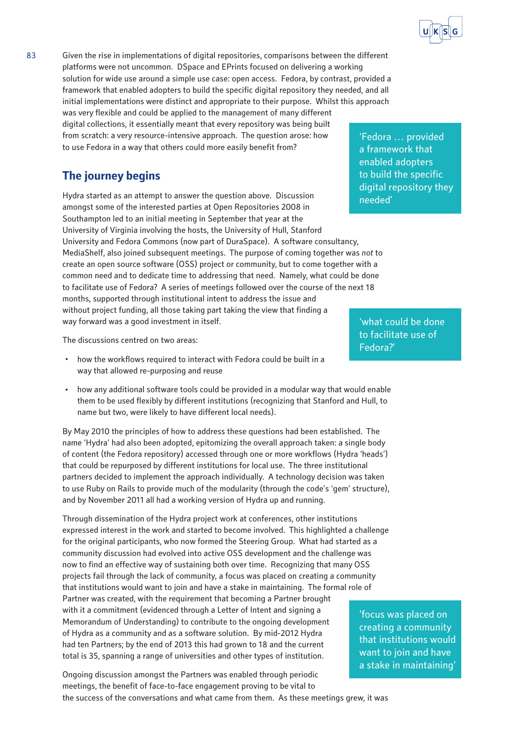83 Given the rise in implementations of digital repositories, comparisons between the different platforms were not uncommon. DSpace and EPrints focused on delivering a working solution for wide use around a simple use case: open access. Fedora, by contrast, provided a framework that enabled adopters to build the specific digital repository they needed, and all initial implementations were distinct and appropriate to their purpose. Whilst this approach was very flexible and could be applied to the management of many different digital collections, it essentially meant that every repository was being built

from scratch: a very resource-intensive approach. The question arose: how to use Fedora in a way that others could more easily benefit from?

# **The journey begins**

Hydra started as an attempt to answer the question above. Discussion amongst some of the interested parties at Open Repositories 2008 in Southampton led to an initial meeting in September that year at the University of Virginia involving the hosts, the University of Hull, Stanford University and Fedora Commons (now part of DuraSpace). A software consultancy, MediaShelf, also joined subsequent meetings. The purpose of coming together was *not* to create an open source software (OSS) project or community, but to come together with a common need and to dedicate time to addressing that need. Namely, what could be done to facilitate use of Fedora? A series of meetings followed over the course of the next 18 months, supported through institutional intent to address the issue and without project funding, all those taking part taking the view that finding a way forward was a good investment in itself.

The discussions centred on two areas:

- how the workflows required to interact with Fedora could be built in a way that allowed re-purposing and reuse
- how any additional software tools could be provided in a modular way that would enable them to be used flexibly by different institutions (recognizing that Stanford and Hull, to name but two, were likely to have different local needs).

By May 2010 the principles of how to address these questions had been established. The name 'Hydra' had also been adopted, epitomizing the overall approach taken: a single body of content (the Fedora repository) accessed through one or more workflows (Hydra 'heads') that could be repurposed by different institutions for local use. The three institutional partners decided to implement the approach individually. A technology decision was taken to use Ruby on Rails to provide much of the modularity (through the code's 'gem' structure), and by November 2011 all had a working version of Hydra up and running.

Through dissemination of the Hydra project work at conferences, other institutions expressed interest in the work and started to become involved. This highlighted a challenge for the original participants, who now formed the Steering Group. What had started as a community discussion had evolved into active OSS development and the challenge was now to find an effective way of sustaining both over time. Recognizing that many OSS projects fail through the lack of community, a focus was placed on creating a community that institutions would want to join and have a stake in maintaining. The formal role of Partner was created, with the requirement that becoming a Partner brought with it a commitment (evidenced through a Letter of Intent and signing a Memorandum of Understanding) to contribute to the ongoing development of Hydra as a community and as a software solution. By mid-2012 Hydra had ten Partners; by the end of 2013 this had grown to 18 and the current total is 35, spanning a range of universities and other types of institution.

Ongoing discussion amongst the Partners was enabled through periodic meetings, the benefit of face-to-face engagement proving to be vital to the success of the conversations and what came from them. As these meetings grew, it was

'Fedora … provided a framework that enabled adopters to build the specific digital repository they needed'

'what could be done to facilitate use of Fedora?'

'focus was placed on creating a community that institutions would want to join and have a stake in maintaining'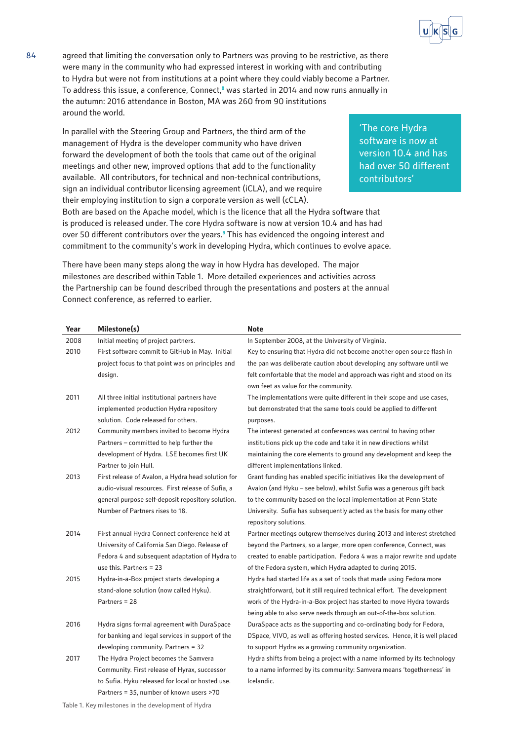'The core Hydra software is now at version 10.4 and has had over 50 different

contributors'

84 agreed that limiting the conversation only to Partners was proving to be restrictive, as there were many in the community who had expressed interest in working with and contributing to Hydra but were not from institutions at a point where they could viably become a Partner. To address this issue, a conference, Connect,**<sup>8</sup>** was started in 2014 and now runs annually in the autumn: 2016 attendance in Boston, MA was 260 from 90 institutions around the world.

In parallel with the Steering Group and Partners, the third arm of the management of Hydra is the developer community who have driven forward the development of both the tools that came out of the original meetings and other new, improved options that add to the functionality available. All contributors, for technical and non-technical contributions, sign an individual contributor licensing agreement (iCLA), and we require their employing institution to sign a corporate version as well (cCLA).

Both are based on the Apache model, which is the licence that all the Hydra software that is produced is released under. The core Hydra software is now at version 10.4 and has had over 50 different contributors over the years.**<sup>9</sup>** This has evidenced the ongoing interest and commitment to the community's work in developing Hydra, which continues to evolve apace.

There have been many steps along the way in how Hydra has developed. The major milestones are described within Table 1. More detailed experiences and activities across the Partnership can be found described through the presentations and posters at the annual Connect conference, as referred to earlier.

**Year Milestone(s) Note** 2008 Initial meeting of project partners. In September 2008, at the University of Virginia. 2010 First software commit to GitHub in May. Initial project focus to that point was on principles and design. Key to ensuring that Hydra did not become another open source flash in the pan was deliberate caution about developing any software until we felt comfortable that the model and approach was right and stood on its own feet as value for the community. 2011 All three initial institutional partners have implemented production Hydra repository solution. Code released for others. The implementations were quite different in their scope and use cases, but demonstrated that the same tools could be applied to different purposes. 2012 Community members invited to become Hydra Partners – committed to help further the development of Hydra. LSE becomes first UK Partner to join Hull. The interest generated at conferences was central to having other institutions pick up the code and take it in new directions whilst maintaining the core elements to ground any development and keep the different implementations linked. 2013 First release of Avalon, a Hydra head solution for audio-visual resources. First release of Sufia, a general purpose self-deposit repository solution. Number of Partners rises to 18. Grant funding has enabled specific initiatives like the development of Avalon (and Hyku – see below), whilst Sufia was a generous gift back to the community based on the local implementation at Penn State University. Sufia has subsequently acted as the basis for many other repository solutions. 2014 First annual Hydra Connect conference held at University of California San Diego. Release of Fedora 4 and subsequent adaptation of Hydra to use this. Partners = 23 Partner meetings outgrew themselves during 2013 and interest stretched beyond the Partners, so a larger, more open conference, Connect, was created to enable participation. Fedora 4 was a major rewrite and update of the Fedora system, which Hydra adapted to during 2015. 2015 Hydra-in-a-Box project starts developing a stand-alone solution (now called Hyku). Partners = 28 Hydra had started life as a set of tools that made using Fedora more straightforward, but it still required technical effort. The development work of the Hydra-in-a-Box project has started to move Hydra towards being able to also serve needs through an out-of-the-box solution. 2016 Hydra signs formal agreement with DuraSpace for banking and legal services in support of the developing community. Partners = 32 DuraSpace acts as the supporting and co-ordinating body for Fedora, DSpace, VIVO, as well as offering hosted services. Hence, it is well placed to support Hydra as a growing community organization. 2017 The Hydra Project becomes the Samvera Community. First release of Hyrax, successor to Sufia. Hyku released for local or hosted use. Partners = 35, number of known users >70 Hydra shifts from being a project with a name informed by its technology to a name informed by its community: Samvera means 'togetherness' in Icelandic.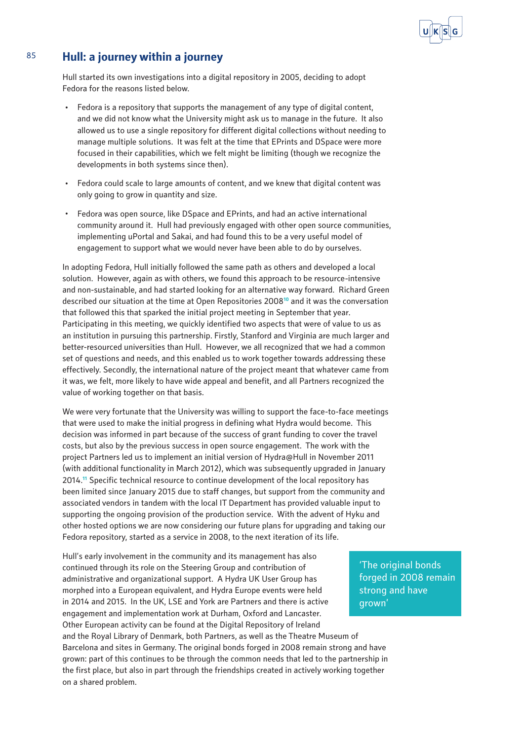

## 85 **Hull: a journey within a journey**

Hull started its own investigations into a digital repository in 2005, deciding to adopt Fedora for the reasons listed below.

- Fedora is a repository that supports the management of any type of digital content, and we did not know what the University might ask us to manage in the future. It also allowed us to use a single repository for different digital collections without needing to manage multiple solutions. It was felt at the time that EPrints and DSpace were more focused in their capabilities, which we felt might be limiting (though we recognize the developments in both systems since then).
- · Fedora could scale to large amounts of content, and we knew that digital content was only going to grow in quantity and size.
- · Fedora was open source, like DSpace and EPrints, and had an active international community around it. Hull had previously engaged with other open source communities, implementing uPortal and Sakai, and had found this to be a very useful model of engagement to support what we would never have been able to do by ourselves.

In adopting Fedora, Hull initially followed the same path as others and developed a local solution. However, again as with others, we found this approach to be resource-intensive and non-sustainable, and had started looking for an alternative way forward. Richard Green described our situation at the time at Open Repositories 2008**<sup>10</sup>** and it was the conversation that followed this that sparked the initial project meeting in September that year. Participating in this meeting, we quickly identified two aspects that were of value to us as an institution in pursuing this partnership. Firstly, Stanford and Virginia are much larger and better-resourced universities than Hull. However, we all recognized that we had a common set of questions and needs, and this enabled us to work together towards addressing these effectively. Secondly, the international nature of the project meant that whatever came from it was, we felt, more likely to have wide appeal and benefit, and all Partners recognized the value of working together on that basis.

We were very fortunate that the University was willing to support the face-to-face meetings that were used to make the initial progress in defining what Hydra would become. This decision was informed in part because of the success of grant funding to cover the travel costs, but also by the previous success in open source engagement. The work with the project Partners led us to implement an initial version of [Hydra@Hull](https://hydra.hull.ac.uk/) in November 2011 (with additional functionality in March 2012), which was subsequently upgraded in January 2014.**<sup>11</sup>** Specific technical resource to continue development of the local repository has been limited since January 2015 due to staff changes, but support from the community and associated vendors in tandem with the local IT Department has provided valuable input to supporting the ongoing provision of the production service. With the advent of Hyku and other hosted options we are now considering our future plans for upgrading and taking our Fedora repository, started as a service in 2008, to the next iteration of its life.

Hull's early involvement in the community and its management has also continued through its role on the Steering Group and contribution of administrative and organizational support. A Hydra UK User Group has morphed into a European equivalent, and Hydra Europe events were held in 2014 and 2015. In the UK, LSE and York are Partners and there is active engagement and implementation work at Durham, Oxford and Lancaster. Other European activity can be found at the Digital Repository of Ireland and the Royal Library of Denmark, both Partners, as well as the Theatre Museum of Barcelona and sites in Germany. The original bonds forged in 2008 remain strong and have grown: part of this continues to be through the common needs that led to the partnership in the first place, but also in part through the friendships created in actively working together on a shared problem.

'The original bonds forged in 2008 remain strong and have grown'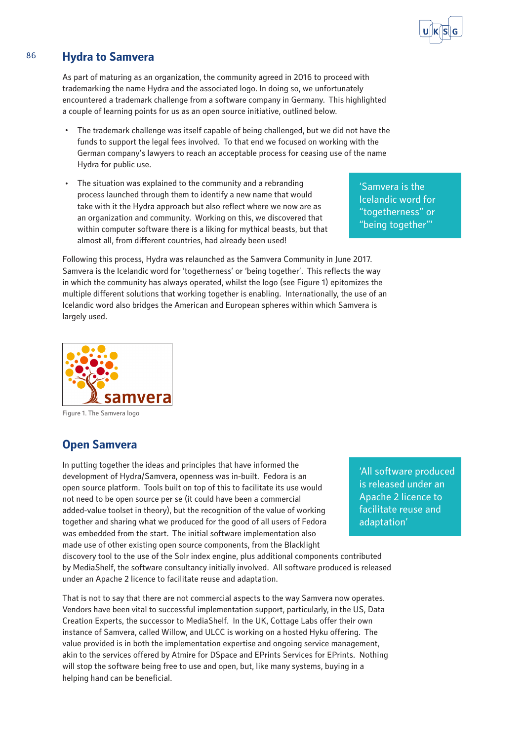# 86 **Hydra to Samvera**

As part of maturing as an organization, the community agreed in 2016 to proceed with trademarking the name Hydra and the associated logo. In doing so, we unfortunately encountered a trademark challenge from a software company in Germany. This highlighted a couple of learning points for us as an open source initiative, outlined below.

- The trademark challenge was itself capable of being challenged, but we did not have the funds to support the legal fees involved. To that end we focused on working with the German company's lawyers to reach an acceptable process for ceasing use of the name Hydra for public use.
- · The situation was explained to the community and a rebranding process launched through them to identify a new name that would take with it the Hydra approach but also reflect where we now are as an organization and community. Working on this, we discovered that within computer software there is a liking for mythical beasts, but that almost all, from different countries, had already been used!

'Samvera is the Icelandic word for "togetherness" or "being together"'

Following this process, Hydra was relaunched as the Samvera Community in June 2017. Samvera is the Icelandic word for 'togetherness' or 'being together'. This reflects the way in which the community has always operated, whilst the logo (see Figure 1) epitomizes the multiple different solutions that working together is enabling. Internationally, the use of an Icelandic word also bridges the American and European spheres within which Samvera is largely used.



Figure 1. The Samvera logo

#### **Open Samvera**

In putting together the ideas and principles that have informed the development of Hydra/Samvera, openness was in-built. Fedora is an open source platform. Tools built on top of this to facilitate its use would not need to be open source per se (it could have been a commercial added-value toolset in theory), but the recognition of the value of working together and sharing what we produced for the good of all users of Fedora was embedded from the start. The initial software implementation also made use of other existing open source components, from the Blacklight discovery tool to the use of the Solr index engine, plus additional components contributed by MediaShelf, the software consultancy initially involved. All software produced is released under an Apache 2 licence to facilitate reuse and adaptation.

That is not to say that there are not commercial aspects to the way Samvera now operates. Vendors have been vital to successful implementation support, particularly, in the US, Data Creation Experts, the successor to MediaShelf. In the UK, Cottage Labs offer their own instance of Samvera, called Willow, and ULCC is working on a hosted Hyku offering. The value provided is in both the implementation expertise and ongoing service management, akin to the services offered by Atmire for DSpace and EPrints Services for EPrints. Nothing will stop the software being free to use and open, but, like many systems, buying in a helping hand can be beneficial.

'All software produced is released under an Apache 2 licence to facilitate reuse and adaptation'

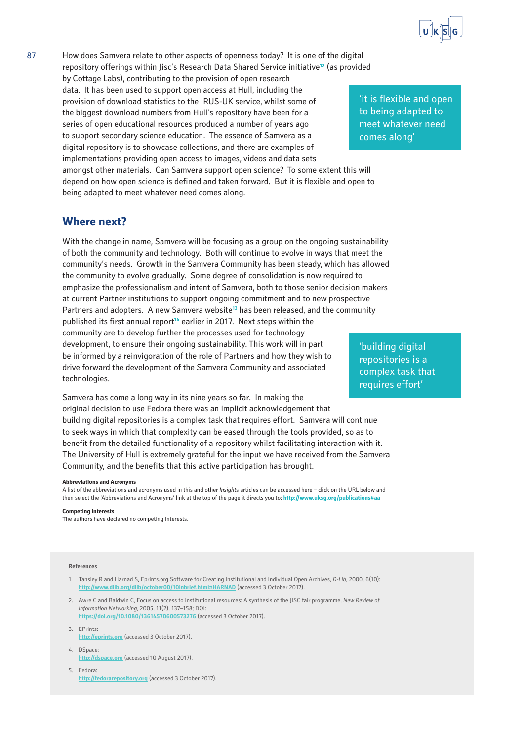

87 How does Samvera relate to other aspects of openness today? It is one of the digital repository offerings within Jisc's Research Data Shared Service initiative**<sup>12</sup>** (as provided by Cottage Labs), contributing to the provision of open research data. It has been used to support open access at Hull, including the provision of download statistics to the IRUS-UK service, whilst some of

the biggest download numbers from Hull's repository have been for a series of open educational resources produced a number of years ago to support secondary science education. The essence of Samvera as a digital repository is to showcase collections, and there are examples of implementations providing open access to images, videos and data sets

amongst other materials. Can Samvera support open science? To some extent this will depend on how open science is defined and taken forward. But it is flexible and open to being adapted to meet whatever need comes along.

#### **Where next?**

With the change in name, Samvera will be focusing as a group on the ongoing sustainability of both the community and technology. Both will continue to evolve in ways that meet the community's needs. Growth in the Samvera Community has been steady, which has allowed the community to evolve gradually. Some degree of consolidation is now required to emphasize the professionalism and intent of Samvera, both to those senior decision makers at current Partner institutions to support ongoing commitment and to new prospective Partners and adopters. A new Samvera website**<sup>13</sup>** has been released, and the community published its first annual report**<sup>14</sup>** earlier in 2017. Next steps within the community are to develop further the processes used for technology development, to ensure their ongoing sustainability. This work will in part be informed by a reinvigoration of the role of Partners and how they wish to drive forward the development of the Samvera Community and associated technologies.

Samvera has come a long way in its nine years so far. In making the original decision to use Fedora there was an implicit acknowledgement that building digital repositories is a complex task that requires effort. Samvera will continue to seek ways in which that complexity can be eased through the tools provided, so as to benefit from the detailed functionality of a repository whilst facilitating interaction with it. The University of Hull is extremely grateful for the input we have received from the Samvera Community, and the benefits that this active participation has brought.

#### **Abbreviations and Acronyms**

A list of the abbreviations and acronyms used in this and other *Insight*s articles can be accessed here – click on the URL below and then select the 'Abbreviations and Acronyms' link at the top of the page it directs you to: **<http://www.uksg.org/publications#aa>**

#### **Competing interests**

The authors have declared no competing interests.

#### **References**

- 1. Tansley R and Harnad S, [Eprints.org](http://eprints.org) Software for Creating Institutional and Individual Open Archives, *D-Lib*, 2000, 6(10): **<http://www.dlib.org/dlib/october00/10inbrief.html#HARNAD>** (accessed 3 October 2017).
- 2. Awre C and Baldwin C, Focus on access to institutional resources: A synthesis of the JISC fair programme, *New Review of Information Networking*, 2005, 11(2), 137–158; DOI:
	- **<https://doi.org/10.1080/13614570600573276>** (accessed 3 October 2017).
- 3. EPrints: **<http://eprints.org>** (accessed 3 October 2017).
- 4. DSpace: **<http://dspace.org>** (accessed 10 August 2017).
- 5. Fedora: **<http://fedorarepository.org>** (accessed 3 October 2017).

'it is flexible and open to being adapted to meet whatever need comes along'

'building digital repositories is a complex task that requires effort'